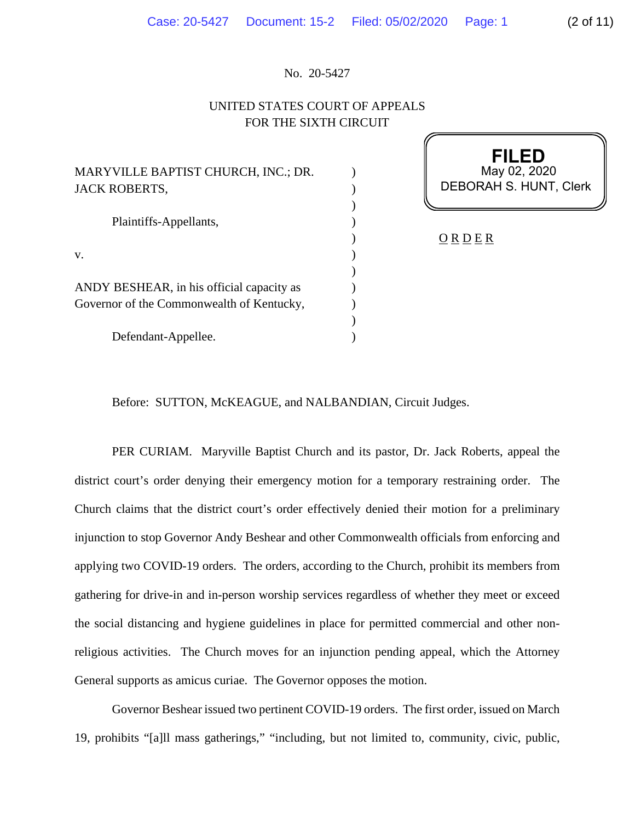## No. 20-5427

## UNITED STATES COURT OF APPEALS FOR THE SIXTH CIRCUIT

| MARYVILLE BAPTIST CHURCH, INC.; DR.<br><b>JACK ROBERTS,</b>                            |  |
|----------------------------------------------------------------------------------------|--|
| Plaintiffs-Appellants,                                                                 |  |
| V.                                                                                     |  |
| ANDY BESHEAR, in his official capacity as<br>Governor of the Commonwealth of Kentucky, |  |
| Defendant-Appellee.                                                                    |  |

**FILED** May 02, 2020 DEBORAH S. HUNT, Clerk

 $\underline{O}$  R  $\underline{D}$  E R

Before: SUTTON, McKEAGUE, and NALBANDIAN, Circuit Judges.

PER CURIAM. Maryville Baptist Church and its pastor, Dr. Jack Roberts, appeal the district court's order denying their emergency motion for a temporary restraining order. The Church claims that the district court's order effectively denied their motion for a preliminary injunction to stop Governor Andy Beshear and other Commonwealth officials from enforcing and applying two COVID-19 orders. The orders, according to the Church, prohibit its members from gathering for drive-in and in-person worship services regardless of whether they meet or exceed the social distancing and hygiene guidelines in place for permitted commercial and other nonreligious activities. The Church moves for an injunction pending appeal, which the Attorney General supports as amicus curiae. The Governor opposes the motion.

Governor Beshear issued two pertinent COVID-19 orders. The first order, issued on March 19, prohibits "[a]ll mass gatherings," "including, but not limited to, community, civic, public,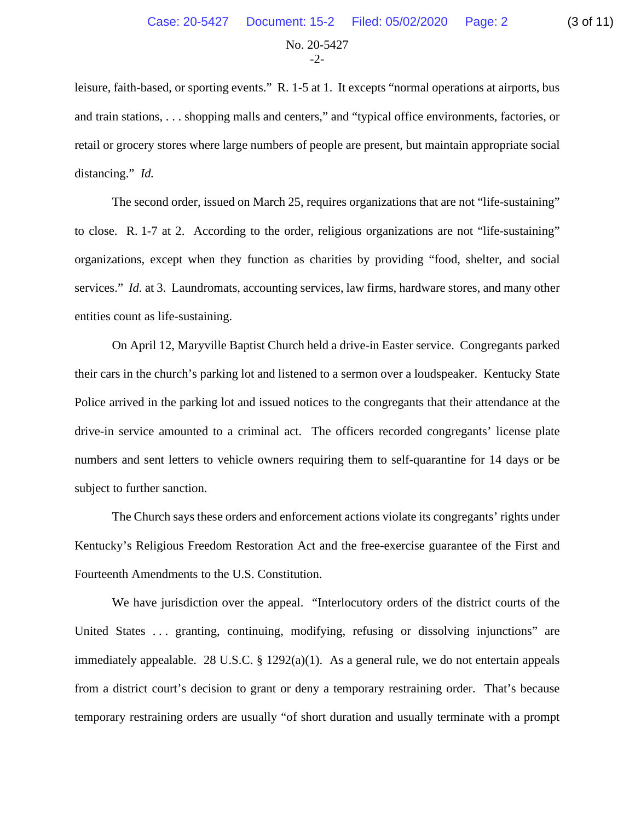No. 20-5427  $-2$ 

leisure, faith-based, or sporting events." R. 1-5 at 1. It excepts "normal operations at airports, bus and train stations, . . . shopping malls and centers," and "typical office environments, factories, or retail or grocery stores where large numbers of people are present, but maintain appropriate social distancing." *Id.*

The second order, issued on March 25, requires organizations that are not "life-sustaining" to close. R. 1-7 at 2. According to the order, religious organizations are not "life-sustaining" organizations, except when they function as charities by providing "food, shelter, and social services." *Id.* at 3. Laundromats, accounting services, law firms, hardware stores, and many other entities count as life-sustaining.

On April 12, Maryville Baptist Church held a drive-in Easter service. Congregants parked their cars in the church's parking lot and listened to a sermon over a loudspeaker. Kentucky State Police arrived in the parking lot and issued notices to the congregants that their attendance at the drive-in service amounted to a criminal act. The officers recorded congregants' license plate numbers and sent letters to vehicle owners requiring them to self-quarantine for 14 days or be subject to further sanction.

The Church says these orders and enforcement actions violate its congregants' rights under Kentucky's Religious Freedom Restoration Act and the free-exercise guarantee of the First and Fourteenth Amendments to the U.S. Constitution.

We have jurisdiction over the appeal. "Interlocutory orders of the district courts of the United States ... granting, continuing, modifying, refusing or dissolving injunctions" are immediately appealable. 28 U.S.C.  $\S$  1292(a)(1). As a general rule, we do not entertain appeals from a district court's decision to grant or deny a temporary restraining order. That's because temporary restraining orders are usually "of short duration and usually terminate with a prompt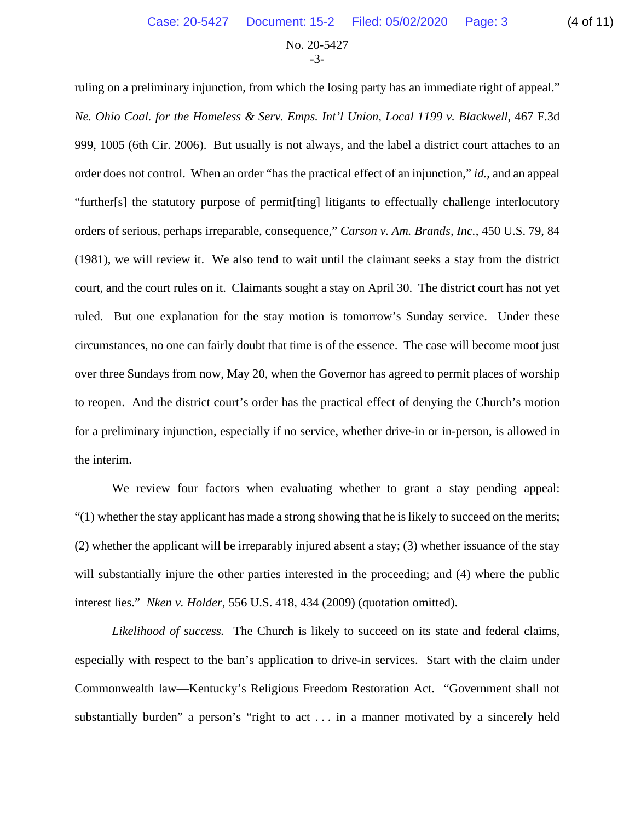No. 20-5427 -3-

ruling on a preliminary injunction, from which the losing party has an immediate right of appeal." *Ne. Ohio Coal. for the Homeless & Serv. Emps. Int'l Union, Local 1199 v. Blackwell*, 467 F.3d 999, 1005 (6th Cir. 2006). But usually is not always, and the label a district court attaches to an order does not control. When an order "has the practical effect of an injunction," *id.*, and an appeal "further[s] the statutory purpose of permit[ting] litigants to effectually challenge interlocutory orders of serious, perhaps irreparable, consequence," *Carson v. Am. Brands, Inc.*, 450 U.S. 79, 84 (1981), we will review it. We also tend to wait until the claimant seeks a stay from the district court, and the court rules on it. Claimants sought a stay on April 30. The district court has not yet ruled. But one explanation for the stay motion is tomorrow's Sunday service. Under these circumstances, no one can fairly doubt that time is of the essence. The case will become moot just over three Sundays from now, May 20, when the Governor has agreed to permit places of worship to reopen. And the district court's order has the practical effect of denying the Church's motion for a preliminary injunction, especially if no service, whether drive-in or in-person, is allowed in the interim.

We review four factors when evaluating whether to grant a stay pending appeal:  $(1)$  whether the stay applicant has made a strong showing that he is likely to succeed on the merits; (2) whether the applicant will be irreparably injured absent a stay; (3) whether issuance of the stay will substantially injure the other parties interested in the proceeding; and (4) where the public interest lies." *Nken v. Holder*, 556 U.S. 418, 434 (2009) (quotation omitted).

*Likelihood of success.* The Church is likely to succeed on its state and federal claims, especially with respect to the ban's application to drive-in services. Start with the claim under Commonwealth law—Kentucky's Religious Freedom Restoration Act. "Government shall not substantially burden" a person's "right to act . . . in a manner motivated by a sincerely held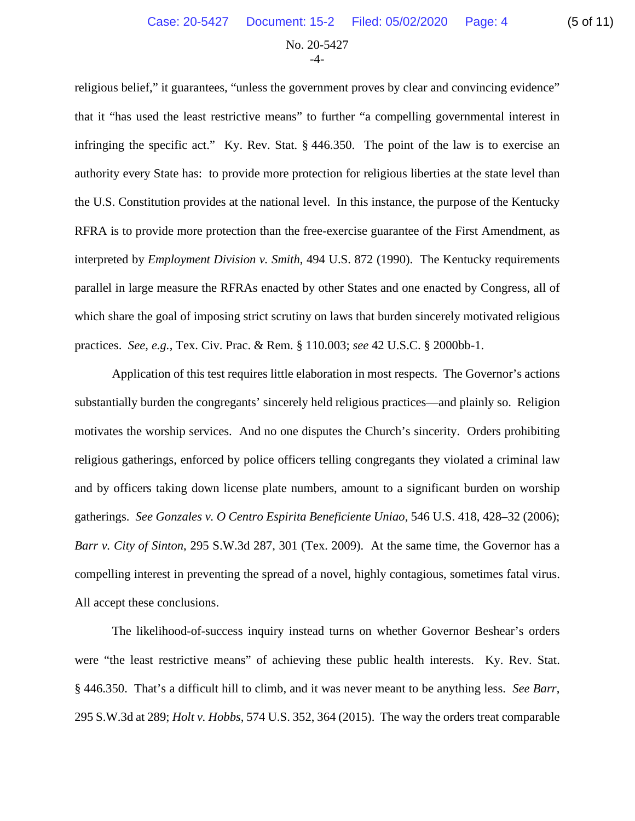No. 20-5427 -4-

religious belief," it guarantees, "unless the government proves by clear and convincing evidence" that it "has used the least restrictive means" to further "a compelling governmental interest in infringing the specific act." Ky. Rev. Stat. § 446.350. The point of the law is to exercise an authority every State has: to provide more protection for religious liberties at the state level than the U.S. Constitution provides at the national level. In this instance, the purpose of the Kentucky RFRA is to provide more protection than the free-exercise guarantee of the First Amendment, as interpreted by *Employment Division v. Smith*, 494 U.S. 872 (1990). The Kentucky requirements parallel in large measure the RFRAs enacted by other States and one enacted by Congress, all of which share the goal of imposing strict scrutiny on laws that burden sincerely motivated religious practices. *See, e.g.*, Tex. Civ. Prac. & Rem. § 110.003; *see* 42 U.S.C. § 2000bb-1.

Application of this test requires little elaboration in most respects. The Governor's actions substantially burden the congregants' sincerely held religious practices—and plainly so. Religion motivates the worship services. And no one disputes the Church's sincerity. Orders prohibiting religious gatherings, enforced by police officers telling congregants they violated a criminal law and by officers taking down license plate numbers, amount to a significant burden on worship gatherings. *See Gonzales v. O Centro Espirita Beneficiente Uniao*, 546 U.S. 418, 428–32 (2006); *Barr v. City of Sinton*, 295 S.W.3d 287, 301 (Tex. 2009). At the same time, the Governor has a compelling interest in preventing the spread of a novel, highly contagious, sometimes fatal virus. All accept these conclusions.

The likelihood-of-success inquiry instead turns on whether Governor Beshear's orders were "the least restrictive means" of achieving these public health interests. Ky. Rev. Stat. § 446.350. That's a difficult hill to climb, and it was never meant to be anything less. *See Barr*, 295 S.W.3d at 289; *Holt v. Hobbs*, 574 U.S. 352, 364 (2015). The way the orders treat comparable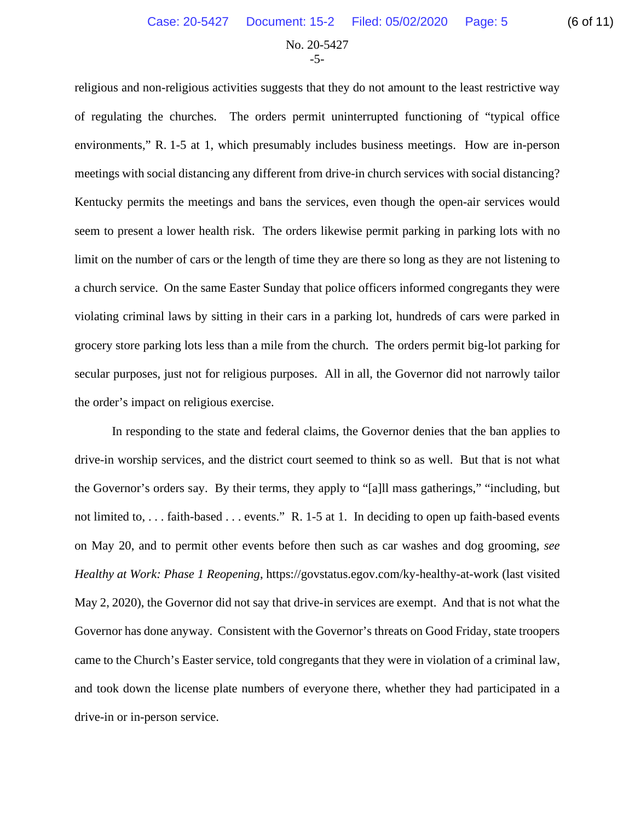No. 20-5427 -5-

religious and non-religious activities suggests that they do not amount to the least restrictive way of regulating the churches. The orders permit uninterrupted functioning of "typical office environments," R. 1-5 at 1, which presumably includes business meetings. How are in-person meetings with social distancing any different from drive-in church services with social distancing? Kentucky permits the meetings and bans the services, even though the open-air services would seem to present a lower health risk. The orders likewise permit parking in parking lots with no limit on the number of cars or the length of time they are there so long as they are not listening to a church service. On the same Easter Sunday that police officers informed congregants they were violating criminal laws by sitting in their cars in a parking lot, hundreds of cars were parked in grocery store parking lots less than a mile from the church. The orders permit big-lot parking for secular purposes, just not for religious purposes. All in all, the Governor did not narrowly tailor the order's impact on religious exercise.

In responding to the state and federal claims, the Governor denies that the ban applies to drive-in worship services, and the district court seemed to think so as well. But that is not what the Governor's orders say. By their terms, they apply to "[a]ll mass gatherings," "including, but not limited to, . . . faith-based . . . events." R. 1-5 at 1. In deciding to open up faith-based events on May 20, and to permit other events before then such as car washes and dog grooming, *see Healthy at Work: Phase 1 Reopening*, https://govstatus.egov.com/ky-healthy-at-work (last visited May 2, 2020), the Governor did not say that drive-in services are exempt. And that is not what the Governor has done anyway. Consistent with the Governor's threats on Good Friday, state troopers came to the Church's Easter service, told congregants that they were in violation of a criminal law, and took down the license plate numbers of everyone there, whether they had participated in a drive-in or in-person service.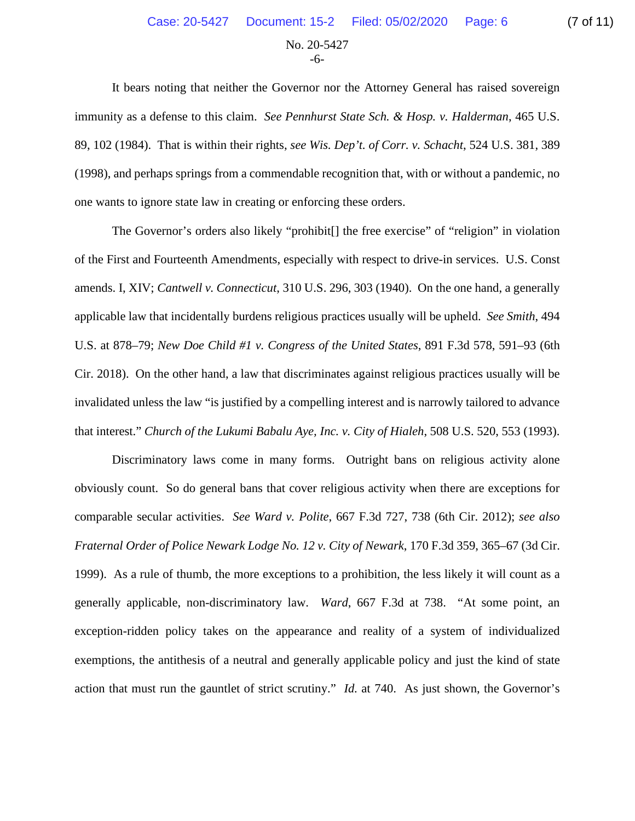No. 20-5427 -6-

It bears noting that neither the Governor nor the Attorney General has raised sovereign immunity as a defense to this claim. *See Pennhurst State Sch. & Hosp. v. Halderman*, 465 U.S. 89, 102 (1984). That is within their rights, *see Wis. Dep't. of Corr. v. Schacht*, 524 U.S. 381, 389 (1998), and perhaps springs from a commendable recognition that, with or without a pandemic, no one wants to ignore state law in creating or enforcing these orders.

The Governor's orders also likely "prohibit[] the free exercise" of "religion" in violation of the First and Fourteenth Amendments, especially with respect to drive-in services. U.S. Const amends. I, XIV; *Cantwell v. Connecticut*, 310 U.S. 296, 303 (1940). On the one hand, a generally applicable law that incidentally burdens religious practices usually will be upheld. *See Smith*, 494 U.S. at 878–79; *New Doe Child #1 v. Congress of the United States*, 891 F.3d 578, 591–93 (6th Cir. 2018). On the other hand, a law that discriminates against religious practices usually will be invalidated unless the law "is justified by a compelling interest and is narrowly tailored to advance that interest." *Church of the Lukumi Babalu Aye, Inc. v. City of Hialeh*, 508 U.S. 520, 553 (1993).

Discriminatory laws come in many forms. Outright bans on religious activity alone obviously count. So do general bans that cover religious activity when there are exceptions for comparable secular activities. *See Ward v. Polite*, 667 F.3d 727, 738 (6th Cir. 2012); *see also Fraternal Order of Police Newark Lodge No. 12 v. City of Newark*, 170 F.3d 359, 365–67 (3d Cir. 1999). As a rule of thumb, the more exceptions to a prohibition, the less likely it will count as a generally applicable, non-discriminatory law. *Ward*, 667 F.3d at 738. "At some point, an exception-ridden policy takes on the appearance and reality of a system of individualized exemptions, the antithesis of a neutral and generally applicable policy and just the kind of state action that must run the gauntlet of strict scrutiny." *Id.* at 740. As just shown, the Governor's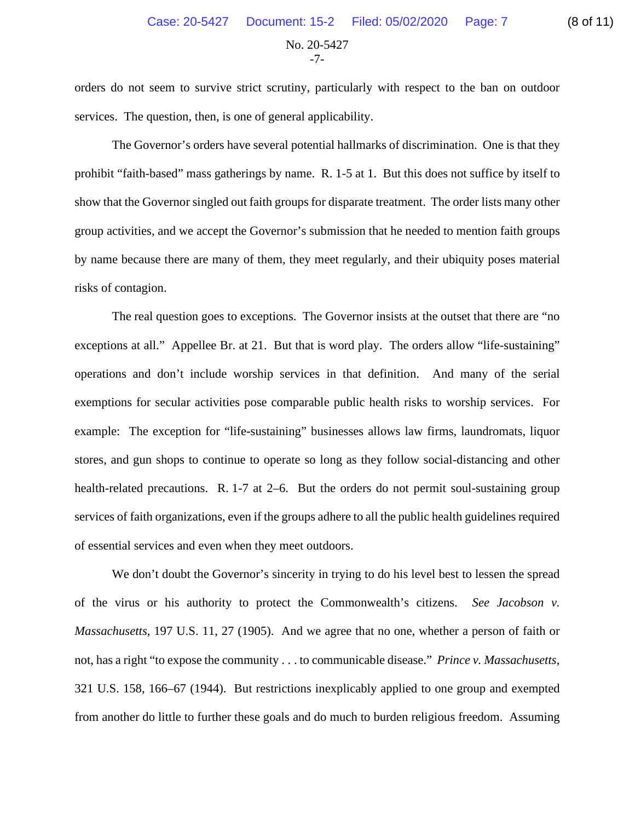No. 20-5427 -7-

orders do not seem to survive strict scrutiny, particularly with respect to the ban on outdoor services. The question, then, is one of general applicability.

The Governor's orders have several potential hallmarks of discrimination. One is that they prohibit "faith-based" mass gatherings by name. R. 1-5 at 1. But this does not suffice by itself to show that the Governor singled out faith groups for disparate treatment. The order lists many other group activities, and we accept the Governor's submission that he needed to mention faith groups by name because there are many of them, they meet regularly, and their ubiquity poses material risks of contagion.

The real question goes to exceptions. The Governor insists at the outset that there are "no exceptions at all." Appellee Br. at 21. But that is word play. The orders allow "life-sustaining" operations and don't include worship services in that definition. And many of the serial exemptions for secular activities pose comparable public health risks to worship services. For example: The exception for "life-sustaining" businesses allows law firms, laundromats, liquor stores, and gun shops to continue to operate so long as they follow social-distancing and other health-related precautions. R. 1-7 at 2–6. But the orders do not permit soul-sustaining group services of faith organizations, even if the groups adhere to all the public health guidelines required of essential services and even when they meet outdoors.

We don't doubt the Governor's sincerity in trying to do his level best to lessen the spread of the virus or his authority to protect the Commonwealth's citizens. *See Jacobson v. Massachusetts*, 197 U.S. 11, 27 (1905). And we agree that no one, whether a person of faith or not, has a right "to expose the community . . . to communicable disease." *Prince v. Massachusetts*, 321 U.S. 158, 166–67 (1944). But restrictions inexplicably applied to one group and exempted from another do little to further these goals and do much to burden religious freedom. Assuming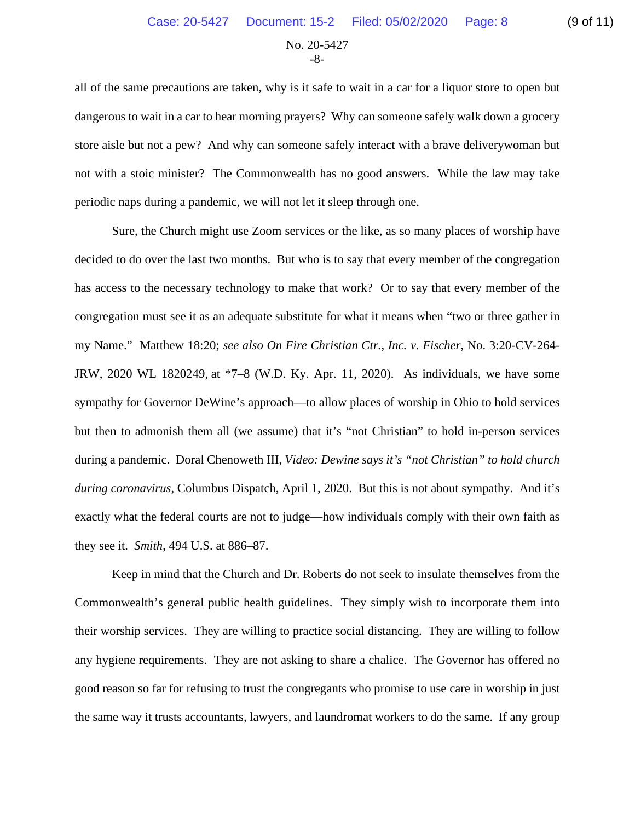No. 20-5427 -8-

all of the same precautions are taken, why is it safe to wait in a car for a liquor store to open but dangerous to wait in a car to hear morning prayers? Why can someone safely walk down a grocery store aisle but not a pew? And why can someone safely interact with a brave deliverywoman but not with a stoic minister? The Commonwealth has no good answers. While the law may take periodic naps during a pandemic, we will not let it sleep through one.

Sure, the Church might use Zoom services or the like, as so many places of worship have decided to do over the last two months. But who is to say that every member of the congregation has access to the necessary technology to make that work? Or to say that every member of the congregation must see it as an adequate substitute for what it means when "two or three gather in my Name." Matthew 18:20; *see also On Fire Christian Ctr., Inc. v. Fischer*, No. 3:20-CV-264- JRW, 2020 WL 1820249, at \*7–8 (W.D. Ky. Apr. 11, 2020). As individuals, we have some sympathy for Governor DeWine's approach—to allow places of worship in Ohio to hold services but then to admonish them all (we assume) that it's "not Christian" to hold in-person services during a pandemic. Doral Chenoweth III, *Video: Dewine says it's "not Christian" to hold church during coronavirus*, Columbus Dispatch, April 1, 2020. But this is not about sympathy. And it's exactly what the federal courts are not to judge—how individuals comply with their own faith as they see it. *Smith*, 494 U.S. at 886–87.

Keep in mind that the Church and Dr. Roberts do not seek to insulate themselves from the Commonwealth's general public health guidelines. They simply wish to incorporate them into their worship services. They are willing to practice social distancing. They are willing to follow any hygiene requirements. They are not asking to share a chalice. The Governor has offered no good reason so far for refusing to trust the congregants who promise to use care in worship in just the same way it trusts accountants, lawyers, and laundromat workers to do the same. If any group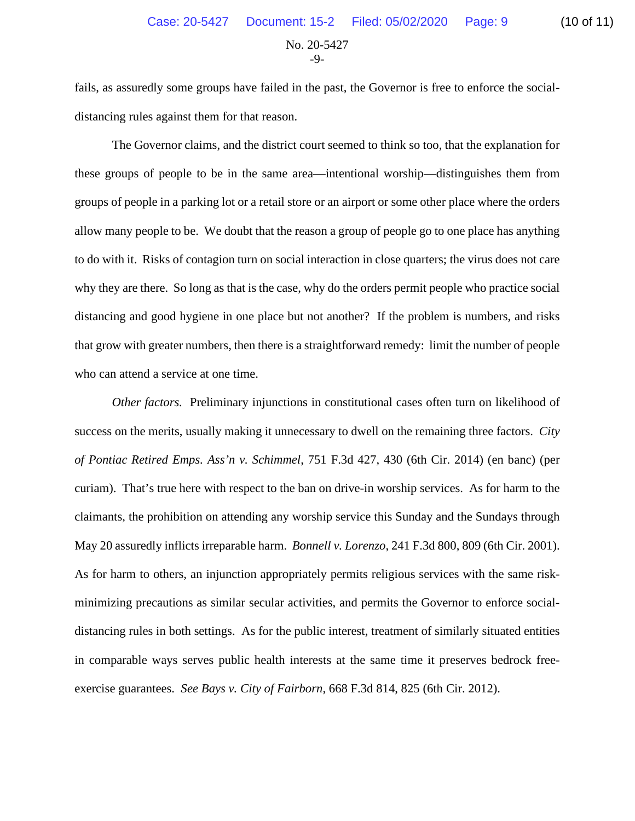No. 20-5427 -9-

fails, as assuredly some groups have failed in the past, the Governor is free to enforce the socialdistancing rules against them for that reason.

The Governor claims, and the district court seemed to think so too, that the explanation for these groups of people to be in the same area—intentional worship—distinguishes them from groups of people in a parking lot or a retail store or an airport or some other place where the orders allow many people to be. We doubt that the reason a group of people go to one place has anything to do with it. Risks of contagion turn on social interaction in close quarters; the virus does not care why they are there. So long as that is the case, why do the orders permit people who practice social distancing and good hygiene in one place but not another? If the problem is numbers, and risks that grow with greater numbers, then there is a straightforward remedy: limit the number of people who can attend a service at one time.

*Other factors.* Preliminary injunctions in constitutional cases often turn on likelihood of success on the merits, usually making it unnecessary to dwell on the remaining three factors. *City of Pontiac Retired Emps. Ass'n v. Schimmel*, 751 F.3d 427, 430 (6th Cir. 2014) (en banc) (per curiam). That's true here with respect to the ban on drive-in worship services. As for harm to the claimants, the prohibition on attending any worship service this Sunday and the Sundays through May 20 assuredly inflicts irreparable harm. *Bonnell v. Lorenzo*, 241 F.3d 800, 809 (6th Cir. 2001). As for harm to others, an injunction appropriately permits religious services with the same riskminimizing precautions as similar secular activities, and permits the Governor to enforce socialdistancing rules in both settings. As for the public interest, treatment of similarly situated entities in comparable ways serves public health interests at the same time it preserves bedrock freeexercise guarantees. *See Bays v. City of Fairborn*, 668 F.3d 814, 825 (6th Cir. 2012).